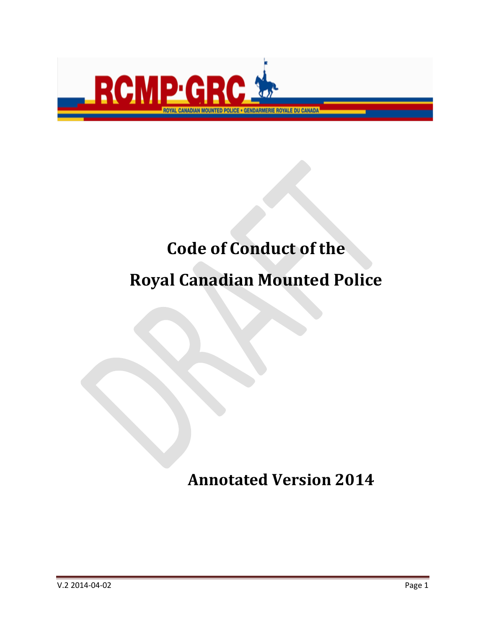

# **Code of Conduct of the**

# **Royal Canadian Mounted Police**

# **Annotated Version 2014**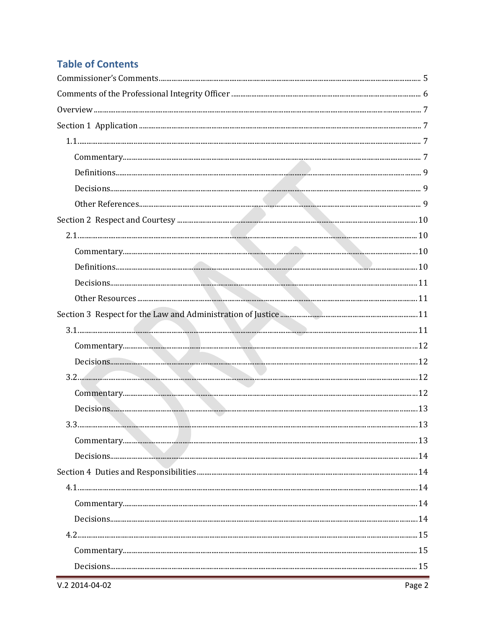## **Table of Contents**

| ${\bf Commentary.}\hfill\hspace{15pt} 12$ |  |
|-------------------------------------------|--|
|                                           |  |
|                                           |  |
|                                           |  |
|                                           |  |
|                                           |  |
|                                           |  |
|                                           |  |
|                                           |  |
|                                           |  |
|                                           |  |
|                                           |  |
|                                           |  |
|                                           |  |
|                                           |  |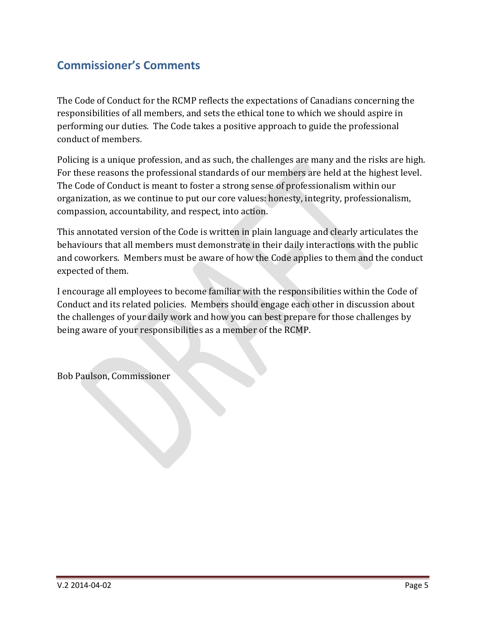## <span id="page-4-0"></span>**Commissioner's Comments**

The Code of Conduct for the RCMP reflects the expectations of Canadians concerning the responsibilities of all members, and sets the ethical tone to which we should aspire in performing our duties. The Code takes a positive approach to guide the professional conduct of members.

Policing is a unique profession, and as such, the challenges are many and the risks are high. For these reasons the professional standards of our members are held at the highest level. The Code of Conduct is meant to foster a strong sense of professionalism within our organization, as we continue to put our core values: honesty, integrity, professionalism, compassion, accountability, and respect, into action.

This annotated version of the Code is written in plain language and clearly articulates the behaviours that all members must demonstrate in their daily interactions with the public and coworkers. Members must be aware of how the Code applies to them and the conduct expected of them.

I encourage all employees to become familiar with the responsibilities within the Code of Conduct and its related policies. Members should engage each other in discussion about the challenges of your daily work and how you can best prepare for those challenges by being aware of your responsibilities as a member of the RCMP.

Bob Paulson, Commissioner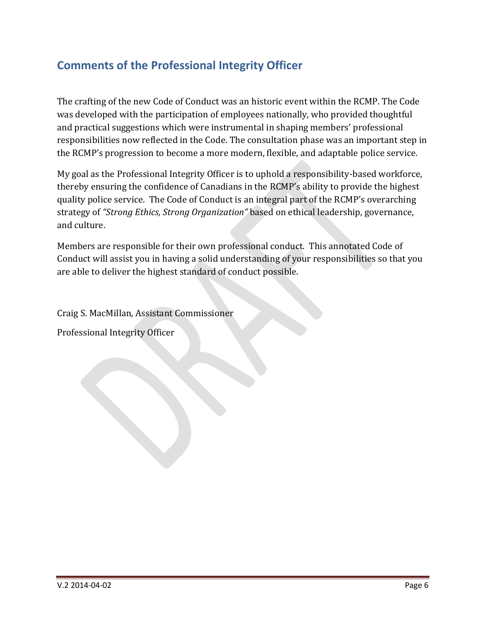## <span id="page-5-0"></span>**Comments of the Professional Integrity Officer**

The crafting of the new Code of Conduct was an historic event within the RCMP. The Code was developed with the participation of employees nationally, who provided thoughtful and practical suggestions which were instrumental in shaping members' professional responsibilities now reflected in the Code. The consultation phase was an important step in the RCMP's progression to become a more modern, flexible, and adaptable police service.

My goal as the Professional Integrity Officer is to uphold a responsibility-based workforce, thereby ensuring the confidence of Canadians in the RCMP's ability to provide the highest quality police service. The Code of Conduct is an integral part of the RCMP's overarching strategy of *"Strong Ethics, Strong Organization"* based on ethical leadership, governance, and culture.

Members are responsible for their own professional conduct. This annotated Code of Conduct will assist you in having a solid understanding of your responsibilities so that you are able to deliver the highest standard of conduct possible.

Craig S. MacMillan, Assistant Commissioner

Professional Integrity Officer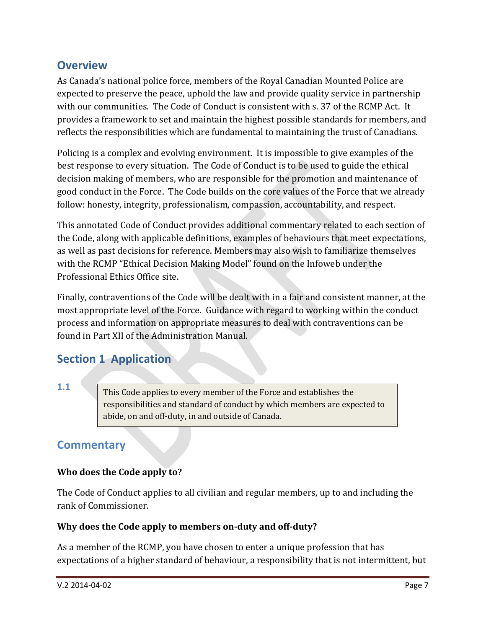## <span id="page-6-0"></span>**Overview**

As Canada's national police force, members of the Royal Canadian Mounted Police are expected to preserve the peace, uphold the law and provide quality service in partnership with our communities. The Code of Conduct is consistent with s. 37 of the RCMP Act. It provides a framework to set and maintain the highest possible standards for members, and reflects the responsibilities which are fundamental to maintaining the trust of Canadians.

Policing is a complex and evolving environment. It is impossible to give examples of the best response to every situation. The Code of Conduct is to be used to guide the ethical decision making of members, who are responsible for the promotion and maintenance of good conduct in the Force. The Code builds on the core values of the Force that we already follow: honesty, integrity, professionalism, compassion, accountability, and respect.

This annotated Code of Conduct provides additional commentary related to each section of the Code, along with applicable definitions, examples of behaviours that meet expectations, as well as past decisions for reference. Members may also wish to familiarize themselves with the RCMP "Ethical Decision Making Model" found on the Infoweb under the Professional Ethics Office site.

Finally, contraventions of the Code will be dealt with in a fair and consistent manner, at the most appropriate level of the Force. Guidance with regard to working within the conduct process and information on appropriate measures to deal with contraventions can be found in Part XII of the Administration Manual.

## <span id="page-6-1"></span>**Section 1 Application**

#### <span id="page-6-2"></span>**1.1**

This Code applies to every member of the Force and establishes the responsibilities and standard of conduct by which members are expected to abide, on and off-duty, in and outside of Canada.

## <span id="page-6-3"></span>**Commentary**

#### **Who does the Code apply to?**

The Code of Conduct applies to all civilian and regular members, up to and including the rank of Commissioner.

#### **Why does the Code apply to members on-duty and off-duty?**

As a member of the RCMP, you have chosen to enter a unique profession that has expectations of a higher standard of behaviour, a responsibility that is not intermittent, but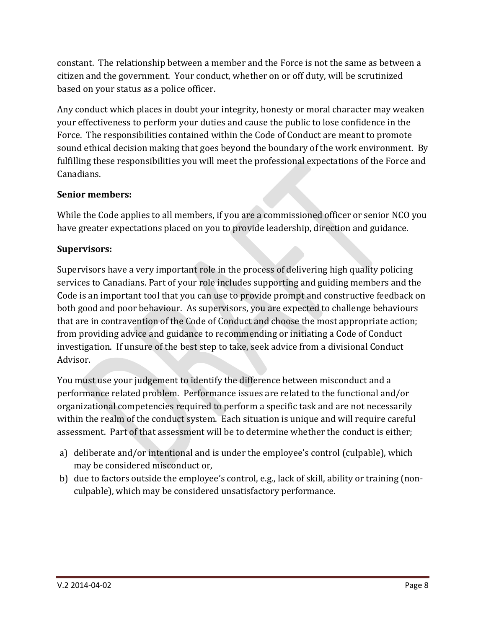constant. The relationship between a member and the Force is not the same as between a citizen and the government. Your conduct, whether on or off duty, will be scrutinized based on your status as a police officer.

Any conduct which places in doubt your integrity, honesty or moral character may weaken your effectiveness to perform your duties and cause the public to lose confidence in the Force. The responsibilities contained within the Code of Conduct are meant to promote sound ethical decision making that goes beyond the boundary of the work environment. By fulfilling these responsibilities you will meet the professional expectations of the Force and Canadians.

#### **Senior members:**

While the Code applies to all members, if you are a commissioned officer or senior NCO you have greater expectations placed on you to provide leadership, direction and guidance.

#### **Supervisors:**

Supervisors have a very important role in the process of delivering high quality policing services to Canadians. Part of your role includes supporting and guiding members and the Code is an important tool that you can use to provide prompt and constructive feedback on both good and poor behaviour. As supervisors, you are expected to challenge behaviours that are in contravention of the Code of Conduct and choose the most appropriate action; from providing advice and guidance to recommending or initiating a Code of Conduct investigation. If unsure of the best step to take, seek advice from a divisional Conduct Advisor.

You must use your judgement to identify the difference between misconduct and a performance related problem. Performance issues are related to the functional and/or organizational competencies required to perform a specific task and are not necessarily within the realm of the conduct system. Each situation is unique and will require careful assessment. Part of that assessment will be to determine whether the conduct is either;

- a) deliberate and/or intentional and is under the employee's control (culpable), which may be considered misconduct or,
- b) due to factors outside the employee's control, e.g., lack of skill, ability or training (nonculpable), which may be considered unsatisfactory performance.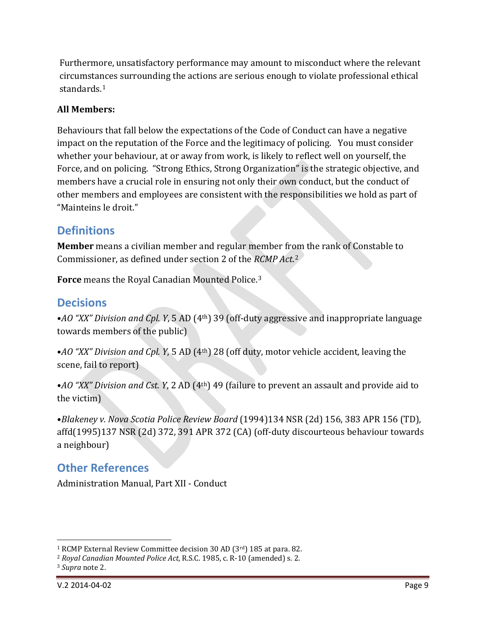Furthermore, unsatisfactory performance may amount to misconduct where the relevant circumstances surrounding the actions are serious enough to violate professional ethical standards.[1](#page-8-3)

#### **All Members:**

Behaviours that fall below the expectations of the Code of Conduct can have a negative impact on the reputation of the Force and the legitimacy of policing. You must consider whether your behaviour, at or away from work, is likely to reflect well on yourself, the Force, and on policing. "Strong Ethics, Strong Organization" is the strategic objective, and members have a crucial role in ensuring not only their own conduct, but the conduct of other members and employees are consistent with the responsibilities we hold as part of "Mainteins le droit."

#### <span id="page-8-0"></span>**Definitions**

**Member** means a civilian member and regular member fr[om](#page-8-4) the rank of Constable to Commissioner, as defined under section 2 of the *RCMP Act*. 2

**Force** means the Royal Canadian Mounted Police. [3](#page-8-5)

## <span id="page-8-1"></span>**Decisions**

•*AO "XX" Division and Cpl. Y*, 5 AD (4th) 39 (off-duty aggressive and inappropriate language towards members of the public)

•*AO "XX" Division and Cpl. Y*, 5 AD (4th) 28 (off duty, motor vehicle accident, leaving the scene, fail to report)

•*AO "XX" Division and Cst. Y*, 2 AD (4th) 49 (failure to prevent an assault and provide aid to the victim)

•*Blakeney v. Nova Scotia Police Review Board* (1994)134 NSR (2d) 156, 383 APR 156 (TD), affd(1995)137 NSR (2d) 372, 391 APR 372 (CA) (off-duty discourteous behaviour towards a neighbour)

## <span id="page-8-2"></span>**Other References**

Administration Manual, Part XII - Conduct

<sup>&</sup>lt;sup>1</sup> RCMP External Review Committee decision 30 AD (3 $^{\text{rd}}$ ) 185 at para. 82. j

<span id="page-8-4"></span><span id="page-8-3"></span><sup>2</sup> *Royal Canadian Mounted Police Act*, R.S.C. 1985, c. R-10 (amended) s. 2.

<span id="page-8-5"></span><sup>3</sup> *Supra* note 2.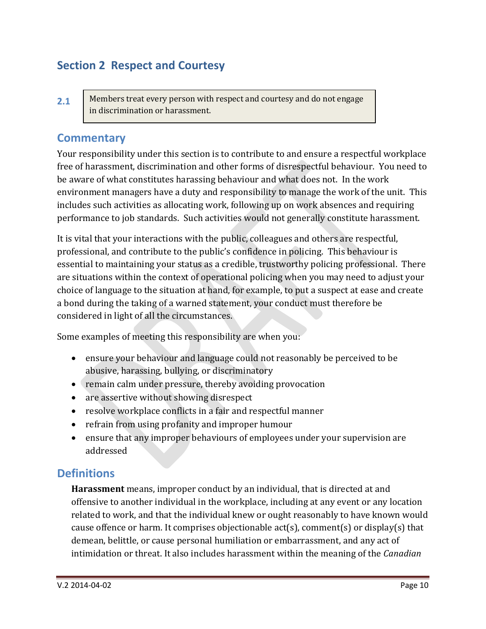## <span id="page-9-0"></span>**Section 2 Respect and Courtesy**

<span id="page-9-1"></span>**2.1** Members treat every person with respect and courtesy and do not engage in discrimination or harassment.

#### <span id="page-9-2"></span>**Commentary**

Your responsibility under this section is to contribute to and ensure a respectful workplace free of harassment, discrimination and other forms of disrespectful behaviour. You need to be aware of what constitutes harassing behaviour and what does not. In the work environment managers have a duty and responsibility to manage the work of the unit. This includes such activities as allocating work, following up on work absences and requiring performance to job standards. Such activities would not generally constitute harassment.

It is vital that your interactions with the public, colleagues and others are respectful, professional, and contribute to the public's confidence in policing. This behaviour is essential to maintaining your status as a credible, trustworthy policing professional. There are situations within the context of operational policing when you may need to adjust your choice of language to the situation at hand, for example, to put a suspect at ease and create a bond during the taking of a warned statement, your conduct must therefore be considered in light of all the circumstances.

Some examples of meeting this responsibility are when you:

- ensure your behaviour and language could not reasonably be perceived to be abusive, harassing, bullying, or discriminatory
- remain calm under pressure, thereby avoiding provocation
- are assertive without showing disrespect
- resolve workplace conflicts in a fair and respectful manner
- refrain from using profanity and improper humour
- ensure that any improper behaviours of employees under your supervision are addressed

#### <span id="page-9-3"></span>**Definitions**

**Harassment** means, improper conduct by an individual, that is directed at and offensive to another individual in the workplace, including at any event or any location related to work, and that the individual knew or ought reasonably to have known would cause offence or harm. It comprises objectionable act(s), comment(s) or display(s) that demean, belittle, or cause personal humiliation or embarrassment, and any act of intimidation or threat. It also includes harassment within the meaning of the *Canadian*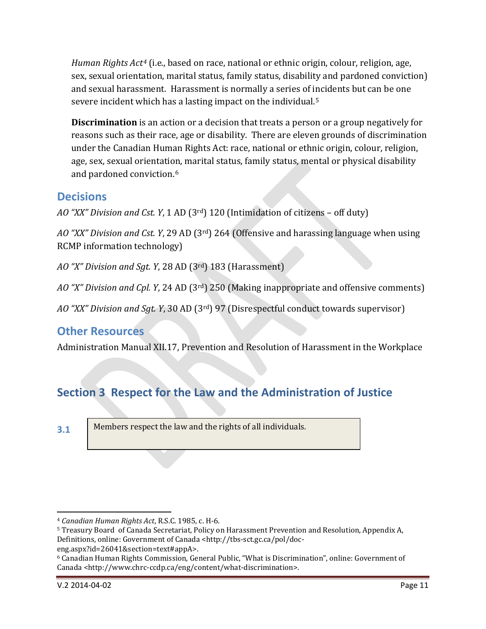*Human Rights Act[4](#page-10-4)* (i.e., based on race, national or ethnic origin, colour, religion, age, sex, sexual orientation, marital status, family status, disability and pardoned conviction) and sexual harassment. Harassment is normally a series of incidents but can be one severe incident which has a lasting impact on the individual.<sup>[5](#page-10-5)</sup>

**Discrimination** is an action or a decision that treats a person or a group negatively for reasons such as their race, age or disability. There are eleven grounds of discrimination under the Canadian Human Rights Act: race, national or ethnic origin, colour, religion, age, sex, sexual orientation, marital status, family status, mental or physical disability and pardoned conviction.[6](#page-10-6)

## <span id="page-10-0"></span>**Decisions**

*AO "XX" Division and Cst. Y*, 1 AD (3rd) 120 (Intimidation of citizens – off duty)

*AO "XX" Division and Cst. Y*, 29 AD (3rd) 264 (Offensive and harassing language when using RCMP information technology)

*AO "X" Division and Sgt. Y*, 28 AD (3rd) 183 (Harassment)

*AO "X" Division and Cpl. Y*, 24 AD (3rd) 250 (Making inappropriate and offensive comments)

*AO "XX" Division and Sgt. Y*, 30 AD (3rd) 97 (Disrespectful conduct towards supervisor)

## <span id="page-10-1"></span>**Other Resources**

Administration Manual XII.17, Prevention and Resolution of Harassment in the Workplace

# <span id="page-10-2"></span>**Section 3 Respect for the Law and the Administration of Justice**

Members respect the law and the rights of all individuals.

<span id="page-10-3"></span>**<sup>3.1</sup>**

<span id="page-10-4"></span><sup>4</sup> *Canadian Human Rights Act*, R.S.C. 1985, c. H-6. j

<span id="page-10-5"></span><sup>5</sup> Treasury Board of Canada Secretariat, Policy on Harassment Prevention and Resolution, Appendix A, Definitions, online: Government of Canada <http://tbs-sct.gc.ca/pol/doc-

eng.aspx?id=26041&section=text#appA>.

<span id="page-10-6"></span><sup>6</sup> Canadian Human Rights Commission, General Public, "What is Discrimination", online: Government of Canada <http://www.chrc-ccdp.ca/eng/content/what-discrimination>.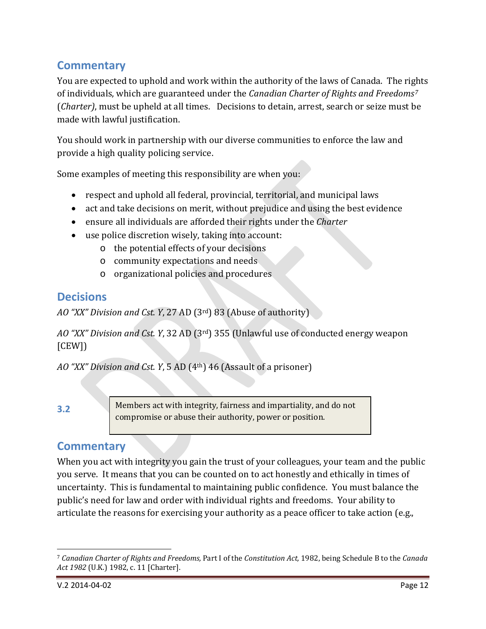## <span id="page-11-0"></span>**Commentary**

You are expected to uphold and work within the authority of the laws of Canada. The rights of individuals, which are guaranteed under the *Canadian Charter of Rights and Freedoms[7](#page-11-4)* (*Charter)*, must be upheld at all times. Decisions to detain, arrest, search or seize must be made with lawful justification.

You should work in partnership with our diverse communities to enforce the law and provide a high quality policing service.

Some examples of meeting this responsibility are when you:

- respect and uphold all federal, provincial, territorial, and municipal laws
- act and take decisions on merit, without prejudice and using the best evidence
- ensure all individuals are afforded their rights under the *Charter*
- use police discretion wisely, taking into account:
	- o the potential effects of your decisions
	- o community expectations and needs
	- o organizational policies and procedures

#### <span id="page-11-1"></span>**Decisions**

*AO "XX" Division and Cst. Y*, 27 AD (3rd) 83 (Abuse of authority)

*AO "XX" Division and Cst. Y*, 32 AD (3rd) 355 (Unlawful use of conducted energy weapon [CEW])

*AO "XX" Division and Cst. Y*, 5 AD (4th) 46 (Assault of a prisoner)

<span id="page-11-2"></span>**3.2**

Members act with integrity, fairness and impartiality, and do not compromise or abuse their authority, power or position.

## <span id="page-11-3"></span>**Commentary**

When you act with integrity you gain the trust of your colleagues, your team and the public you serve. It means that you can be counted on to act honestly and ethically in times of uncertainty. This is fundamental to maintaining public confidence. You must balance the public's need for law and order with individual rights and freedoms. Your ability to articulate the reasons for exercising your authority as a peace officer to take action (e.g.,

<span id="page-11-4"></span><sup>7</sup> *Canadian Charter of Rights and Freedoms,* Part I of the *Constitution Act,* 1982, being Schedule B to the *Canada Act 1982* (U.K.) 1982, c. 11 [Charter]. j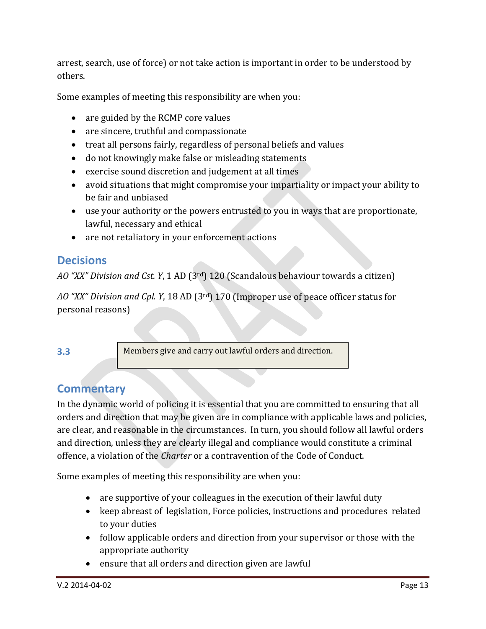arrest, search, use of force) or not take action is important in order to be understood by others.

Some examples of meeting this responsibility are when you:

- are guided by the RCMP core values
- are sincere, truthful and compassionate
- treat all persons fairly, regardless of personal beliefs and values
- do not knowingly make false or misleading statements
- exercise sound discretion and judgement at all times
- avoid situations that might compromise your impartiality or impact your ability to be fair and unbiased
- use your authority or the powers entrusted to you in ways that are proportionate, lawful, necessary and ethical
- are not retaliatory in your enforcement actions

## <span id="page-12-0"></span>**Decisions**

*AO "XX" Division and Cst. Y*, 1 AD (3rd) 120 (Scandalous behaviour towards a citizen)

*AO "XX" Division and Cpl. Y*, 18 AD (3rd) 170 (Improper use of peace officer status for personal reasons)

#### <span id="page-12-1"></span>**3.3**

Members give and carry out lawful orders and direction.

## <span id="page-12-2"></span>**Commentary**

In the dynamic world of policing it is essential that you are committed to ensuring that all orders and direction that may be given are in compliance with applicable laws and policies, are clear, and reasonable in the circumstances. In turn, you should follow all lawful orders and direction, unless they are clearly illegal and compliance would constitute a criminal offence, a violation of the *Charter* or a contravention of the Code of Conduct.

- are supportive of your colleagues in the execution of their lawful duty
- keep abreast of legislation, Force policies, instructions and procedures related to your duties
- follow applicable orders and direction from your supervisor or those with the appropriate authority
- ensure that all orders and direction given are lawful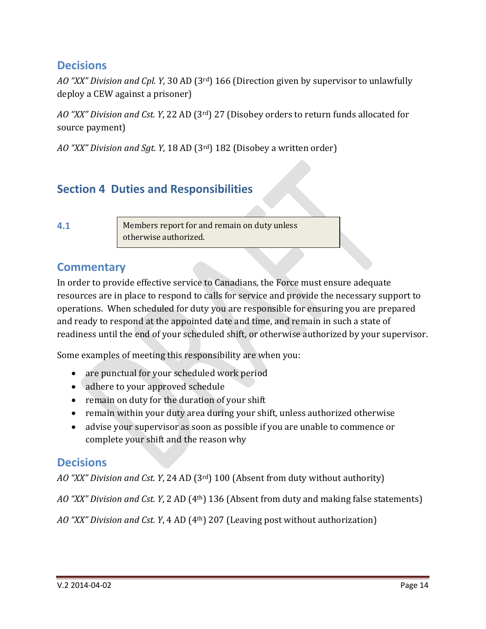#### <span id="page-13-0"></span>**Decisions**

*AO "XX" Division and Cpl. Y*, 30 AD (3rd) 166 (Direction given by supervisor to unlawfully deploy a CEW against a prisoner)

*AO "XX" Division and Cst. Y*, 22 AD (3rd) 27 (Disobey orders to return funds allocated for source payment)

*AO "XX" Division and Sgt. Y*, 18 AD (3rd) 182 (Disobey a written order)

## <span id="page-13-1"></span>**Section 4 Duties and Responsibilities**

<span id="page-13-2"></span>**4.1**

Members report for and remain on duty unless otherwise authorized.

#### <span id="page-13-3"></span>**Commentary**

In order to provide effective service to Canadians, the Force must ensure adequate resources are in place to respond to calls for service and provide the necessary support to operations. When scheduled for duty you are responsible for ensuring you are prepared and ready to respond at the appointed date and time, and remain in such a state of readiness until the end of your scheduled shift, or otherwise authorized by your supervisor.

Some examples of meeting this responsibility are when you:

- are punctual for your scheduled work period
- adhere to your approved schedule
- remain on duty for the duration of your shift
- remain within your duty area during your shift, unless authorized otherwise
- advise your supervisor as soon as possible if you are unable to commence or complete your shift and the reason why

## <span id="page-13-4"></span>**Decisions**

*AO "XX" Division and Cst. Y*, 24 AD (3rd) 100 (Absent from duty without authority)

*AO "XX" Division and Cst. Y*, 2 AD (4th) 136 (Absent from duty and making false statements)

*AO "XX" Division and Cst. Y*, 4 AD (4th) 207 (Leaving post without authorization)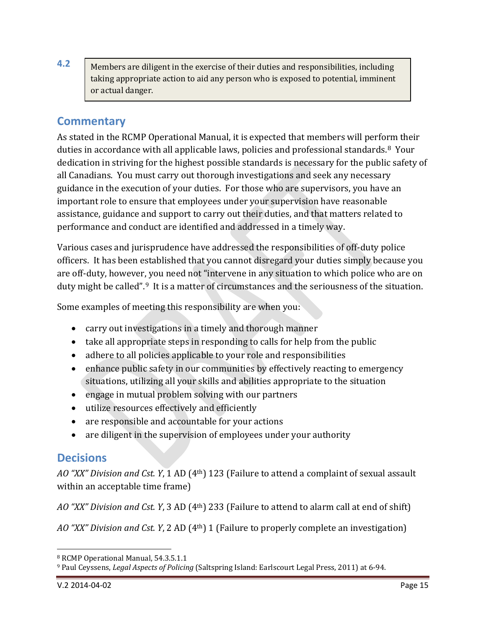<span id="page-14-0"></span>**4.2** Members are diligent in the exercise of their duties and responsibilities, including taking appropriate action to aid any person who is exposed to potential, imminent or actual danger.

#### <span id="page-14-1"></span>**Commentary**

As stated in the RCMP Operational Manual, it is expected that members will perform their duties in accordance with all applicable laws, policies and professional standards.[8](#page-14-3) Your dedication in striving for the highest possible standards is necessary for the public safety of all Canadians. You must carry out thorough investigations and seek any necessary guidance in the execution of your duties. For those who are supervisors, you have an important role to ensure that employees under your supervision have reasonable assistance, guidance and support to carry out their duties, and that matters related to performance and conduct are identified and addressed in a timely way.

Various cases and jurisprudence have addressed the responsibilities of off-duty police officers. It has been established that you cannot disregard your duties simply because you are off-duty, however, you need not "intervene in any situation to which police who are on duty might be called".<sup>9</sup> It is a matter of circumstances and the seriousness of the situation.

Some examples of meeting this responsibility are when you:

- carry out investigations in a timely and thorough manner
- take all appropriate steps in responding to calls for help from the public
- adhere to all policies applicable to your role and responsibilities
- enhance public safety in our communities by effectively reacting to emergency situations, utilizing all your skills and abilities appropriate to the situation
- engage in mutual problem solving with our partners
- utilize resources effectively and efficiently
- are responsible and accountable for your actions
- are diligent in the supervision of employees under your authority

#### <span id="page-14-2"></span>**Decisions**

*AO "XX" Division and Cst. Y*, 1 AD (4th) 123 (Failure to attend a complaint of sexual assault within an acceptable time frame)

*AO "XX" Division and Cst. Y*, 3 AD (4th) 233 (Failure to attend to alarm call at end of shift)

*AO "XX" Division and Cst. Y*, 2 AD (4th) 1 (Failure to properly complete an investigation)

<span id="page-14-3"></span><sup>8</sup> RCMP Operational Manual, 54.3.5.1.1 j

<span id="page-14-4"></span><sup>9</sup> Paul Ceyssens, *Legal Aspects of Policing* (Saltspring Island: Earlscourt Legal Press, 2011) at 6-94.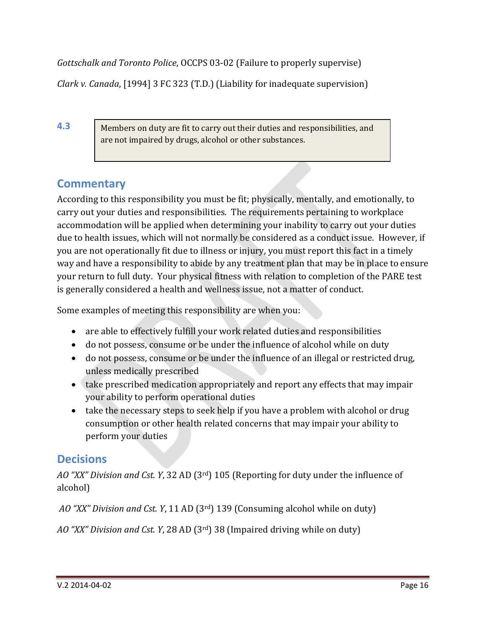*Gottschalk and Toronto Police*, OCCPS 03-02 (Failure to properly supervise)

*Clark v. Canada*, [1994] 3 FC 323 (T.D.) (Liability for inadequate supervision)

<span id="page-15-0"></span>**4.3**

Members on duty are fit to carry out their duties and responsibilities, and are not impaired by drugs, alcohol or other substances.

# <span id="page-15-1"></span>**Commentary**

According to this responsibility you must be fit; physically, mentally, and emotionally, to carry out your duties and responsibilities. The requirements pertaining to workplace accommodation will be applied when determining your inability to carry out your duties due to health issues, which will not normally be considered as a conduct issue. However, if you are not operationally fit due to illness or injury, you must report this fact in a timely way and have a responsibility to abide by any treatment plan that may be in place to ensure your return to full duty. Your physical fitness with relation to completion of the PARE test is generally considered a health and wellness issue, not a matter of conduct.

Some examples of meeting this responsibility are when you:

- are able to effectively fulfill your work related duties and responsibilities
- do not possess, consume or be under the influence of alcohol while on duty
- do not possess, consume or be under the influence of an illegal or restricted drug, unless medically prescribed
- take prescribed medication appropriately and report any effects that may impair your ability to perform operational duties
- take the necessary steps to seek help if you have a problem with alcohol or drug consumption or other health related concerns that may impair your ability to perform your duties

# <span id="page-15-2"></span>**Decisions**

*AO "XX" Division and Cst. Y*, 32 AD (3rd) 105 (Reporting for duty under the influence of alcohol)

*AO "XX" Division and Cst. Y*, 11 AD (3rd) 139 (Consuming alcohol while on duty)

*AO "XX" Division and Cst. Y*, 28 AD (3rd) 38 (Impaired driving while on duty)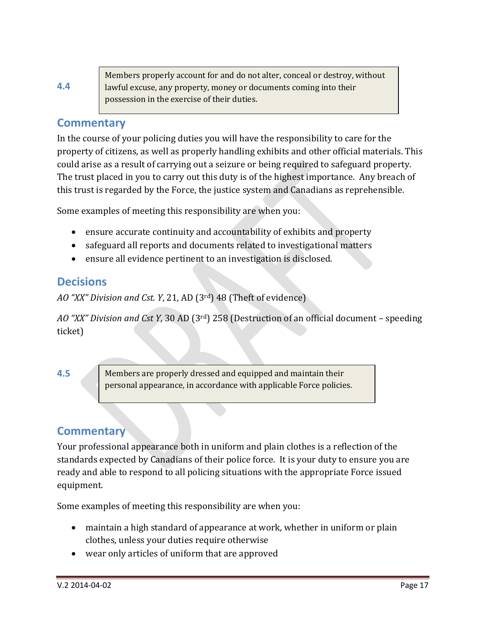<span id="page-16-0"></span>

|     | Members properly account for and do not alter, conceal or destroy, without |
|-----|----------------------------------------------------------------------------|
| 4.4 | lawful excuse, any property, money or documents coming into their          |
|     | possession in the exercise of their duties.                                |
|     |                                                                            |

#### <span id="page-16-1"></span>**Commentary**

In the course of your policing duties you will have the responsibility to care for the property of citizens, as well as properly handling exhibits and other official materials. This could arise as a result of carrying out a seizure or being required to safeguard property. The trust placed in you to carry out this duty is of the highest importance. Any breach of this trust is regarded by the Force, the justice system and Canadians as reprehensible.

Some examples of meeting this responsibility are when you:

- ensure accurate continuity and accountability of exhibits and property
- safeguard all reports and documents related to investigational matters
- ensure all evidence pertinent to an investigation is disclosed.

#### <span id="page-16-2"></span>**Decisions**

*AO "XX" Division and Cst. Y*, 21, AD (3rd) 48 (Theft of evidence)

*AO "XX" Division and Cst Y*, 30 AD (3rd) 258 (Destruction of an official document – speeding ticket)

<span id="page-16-3"></span>**4.5**

Members are properly dressed and equipped and maintain their personal appearance, in accordance with applicable Force policies.

## <span id="page-16-4"></span>**Commentary**

Your professional appearance both in uniform and plain clothes is a reflection of the standards expected by Canadians of their police force. It is your duty to ensure you are ready and able to respond to all policing situations with the appropriate Force issued equipment.

- maintain a high standard of appearance at work, whether in uniform or plain clothes, unless your duties require otherwise
- wear only articles of uniform that are approved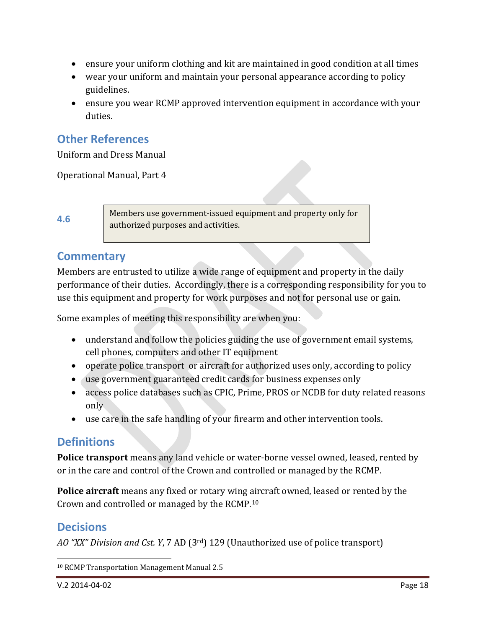- ensure your uniform clothing and kit are maintained in good condition at all times
- wear your uniform and maintain your personal appearance according to policy guidelines.
- ensure you wear RCMP approved intervention equipment in accordance with your duties.

## <span id="page-17-0"></span>**Other References**

Uniform and Dress Manual

Operational Manual, Part 4

<span id="page-17-1"></span>**4.6**

Members use government-issued equipment and property only for authorized purposes and activities.

#### <span id="page-17-2"></span>**Commentary**

Members are entrusted to utilize a wide range of equipment and property in the daily performance of their duties. Accordingly, there is a corresponding responsibility for you to use this equipment and property for work purposes and not for personal use or gain.

Some examples of meeting this responsibility are when you:

- understand and follow the policies guiding the use of government email systems, cell phones, computers and other IT equipment
- operate police transport or aircraft for authorized uses only, according to policy
- use government guaranteed credit cards for business expenses only
- access police databases such as CPIC, Prime, PROS or NCDB for duty related reasons only
- use care in the safe handling of your firearm and other intervention tools.

#### <span id="page-17-3"></span>**Definitions**

**Police transport** means any land vehicle or water-borne vessel owned, leased, rented by or in the care and control of the Crown and controlled or managed by the RCMP.

**Police aircraft** means any fixed or rotary wing aircraft owned, leased or rented by the Crown and controlled or managed by the RCMP.[10](#page-17-5) 

#### <span id="page-17-4"></span>**Decisions**

*AO "XX" Division and Cst. Y*, 7 AD (3rd) 129 (Unauthorized use of police transport)

<span id="page-17-5"></span><sup>10</sup> RCMP Transportation Management Manual 2.5 j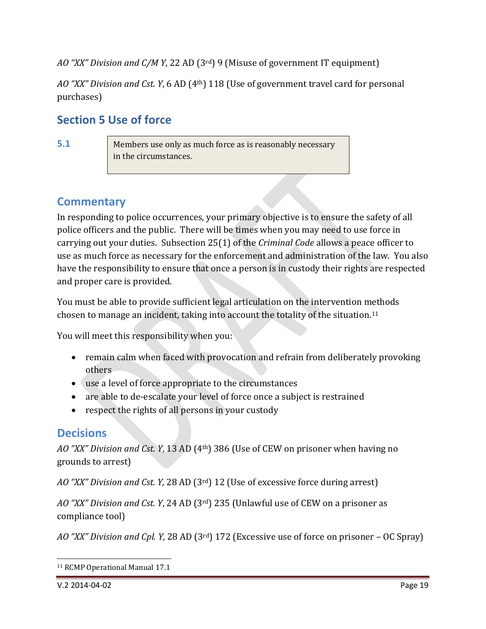*AO "XX" Division and C/M Y*, 22 AD (3rd) 9 (Misuse of government IT equipment)

*AO "XX" Division and Cst. Y*, 6 AD (4th) 118 (Use of government travel card for personal purchases)

#### <span id="page-18-0"></span>**Section 5 Use of force**

<span id="page-18-1"></span>**5.1**

Members use only as much force as is reasonably necessary in the circumstances.

## <span id="page-18-2"></span>**Commentary**

In responding to police occurrences, your primary objective is to ensure the safety of all police officers and the public. There will be times when you may need to use force in carrying out your duties. Subsection 25(1) of the *Criminal Code* allows a peace officer to use as much force as necessary for the enforcement and administration of the law. You also have the responsibility to ensure that once a person is in custody their rights are respected and proper care is provided.

You must be able to provide sufficient legal articulation on the intervention methods chosen to manage an incident, taking into account the totality of the situation.[11](#page-18-4)

You will meet this responsibility when you:

- remain calm when faced with provocation and refrain from deliberately provoking others
- use a level of force appropriate to the circumstances
- are able to de-escalate your level of force once a subject is restrained
- respect the rights of all persons in your custody

## <span id="page-18-3"></span>**Decisions**

*AO "XX" Division and Cst. Y*, 13 AD (4th) 386 (Use of CEW on prisoner when having no grounds to arrest)

*AO "XX" Division and Cst. Y,* 28 AD (3rd) 12 (Use of excessive force during arrest)

*AO "XX" Division and Cst. Y*, 24 AD (3rd) 235 (Unlawful use of CEW on a prisoner as compliance tool)

*AO "XX" Division and Cpl. Y,* 28 AD (3rd) 172 (Excessive use of force on prisoner – OC Spray)

<span id="page-18-4"></span><sup>11</sup> RCMP Operational Manual 17.1 j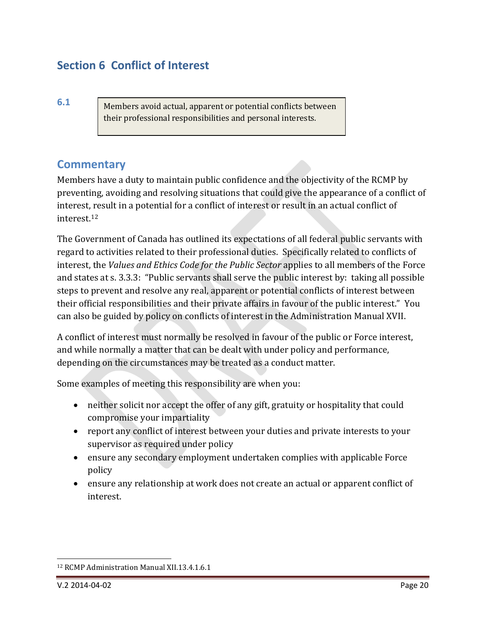## <span id="page-19-0"></span>**Section 6 Conflict of Interest**

<span id="page-19-1"></span>**6.1**

Members avoid actual, apparent or potential conflicts between their professional responsibilities and personal interests.

#### <span id="page-19-2"></span>**Commentary**

Members have a duty to maintain public confidence and the objectivity of the RCMP by preventing, avoiding and resolving situations that could give the appearance of a conflict of interest, result in a potential for a conflict of interest or result in an actual conflict of interest.[12](#page-19-3)

The Government of Canada has outlined its expectations of all federal public servants with regard to activities related to their professional duties. Specifically related to conflicts of interest, the *Values and Ethics Code for the Public Sector* applies to all members of the Force and states at s. 3.3.3: "Public servants shall serve the public interest by: taking all possible steps to prevent and resolve any real, apparent or potential conflicts of interest between their official responsibilities and their private affairs in favour of the public interest." You can also be guided by policy on conflicts of interest in the Administration Manual XVII.

A conflict of interest must normally be resolved in favour of the public or Force interest, and while normally a matter that can be dealt with under policy and performance, depending on the circumstances may be treated as a conduct matter.

- neither solicit nor accept the offer of any gift, gratuity or hospitality that could compromise your impartiality
- report any conflict of interest between your duties and private interests to your supervisor as required under policy
- ensure any secondary employment undertaken complies with applicable Force policy
- ensure any relationship at work does not create an actual or apparent conflict of interest.

<span id="page-19-3"></span><sup>12</sup> RCMP Administration Manual XII.13.4.1.6.1 j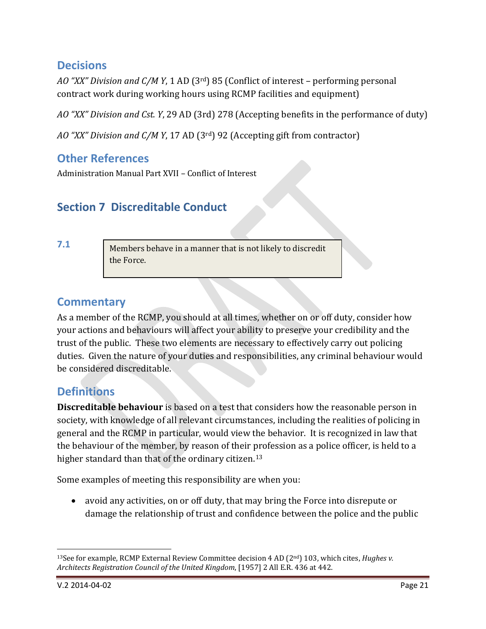## <span id="page-20-0"></span>**Decisions**

*AO "XX" Division and C/M Y*, 1 AD (3rd) 85 (Conflict of interest – performing personal contract work during working hours using RCMP facilities and equipment)

*AO "XX" Division and Cst. Y*, 29 AD (3rd) 278 (Accepting benefits in the performance of duty)

*AO "XX" Division and C/M Y*, 17 AD (3rd) 92 (Accepting gift from contractor)

## <span id="page-20-1"></span>**Other References**

Administration Manual Part XVII – Conflict of Interest

## <span id="page-20-2"></span>**Section 7 Discreditable Conduct**

<span id="page-20-3"></span>**7.1**

Members behave in a manner that is not likely to discredit the Force.

## <span id="page-20-4"></span>**Commentary**

As a member of the RCMP, you should at all times, whether on or off duty, consider how your actions and behaviours will affect your ability to preserve your credibility and the trust of the public. These two elements are necessary to effectively carry out policing duties. Given the nature of your duties and responsibilities, any criminal behaviour would be considered discreditable.

## <span id="page-20-5"></span>**Definitions**

**Discreditable behaviour** is based on a test that considers how the reasonable person in society, with knowledge of all relevant circumstances, including the realities of policing in general and the RCMP in particular, would view the behavior. It is recognized in law that the behaviour of the member, by reason of their profession as a police officer, is held to a higher standard than that of the ordinary citizen.<sup>[13](#page-20-6)</sup>

Some examples of meeting this responsibility are when you:

• avoid any activities, on or off duty, that may bring the Force into disrepute or damage the relationship of trust and confidence between the police and the public

<span id="page-20-6"></span><sup>13</sup>See for example, RCMP External Review Committee decision 4 AD (2nd) 103, which cites, *Hughes v. Architects Registration Council of the United Kingdom*, [1957] 2 All E.R. 436 at 442. j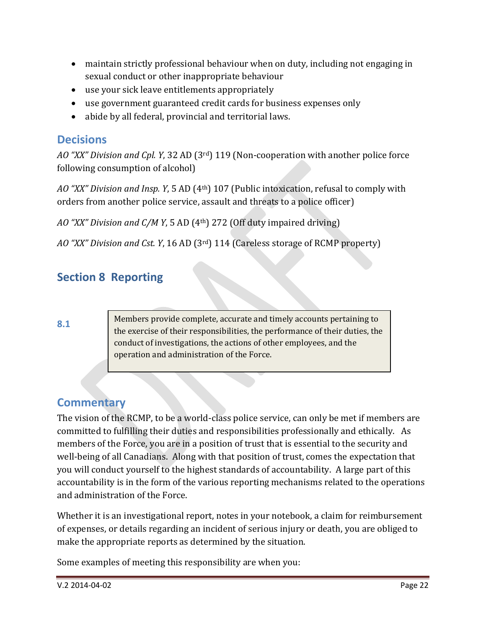- maintain strictly professional behaviour when on duty, including not engaging in sexual conduct or other inappropriate behaviour
- use your sick leave entitlements appropriately
- use government guaranteed credit cards for business expenses only
- abide by all federal, provincial and territorial laws.

#### <span id="page-21-0"></span>**Decisions**

*AO "XX" Division and Cpl. Y*, 32 AD (3rd) 119 (Non-cooperation with another police force following consumption of alcohol)

*AO "XX" Division and Insp. Y*, 5 AD (4th) 107 (Public intoxication, refusal to comply with orders from another police service, assault and threats to a police officer)

*AO "XX" Division and C/M Y*, 5 AD (4th) 272 (Off duty impaired driving)

*AO "XX" Division and Cst. Y*, 16 AD (3rd) 114 (Careless storage of RCMP property)

## <span id="page-21-1"></span>**Section 8 Reporting**

<span id="page-21-2"></span>**8.1**

Members provide complete, accurate and timely accounts pertaining to the exercise of their responsibilities, the performance of their duties, the conduct of investigations, the actions of other employees, and the operation and administration of the Force.

## <span id="page-21-3"></span>**Commentary**

The vision of the RCMP, to be a world-class police service, can only be met if members are committed to fulfilling their duties and responsibilities professionally and ethically. As members of the Force, you are in a position of trust that is essential to the security and well-being of all Canadians. Along with that position of trust, comes the expectation that you will conduct yourself to the highest standards of accountability. A large part of this accountability is in the form of the various reporting mechanisms related to the operations and administration of the Force.

Whether it is an investigational report, notes in your notebook, a claim for reimbursement of expenses, or details regarding an incident of serious injury or death, you are obliged to make the appropriate reports as determined by the situation.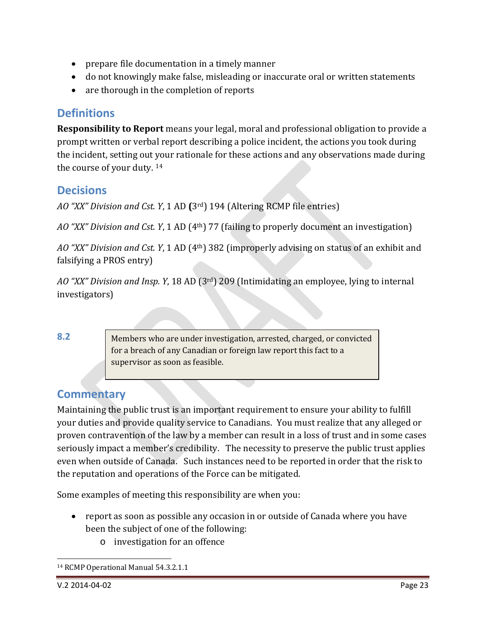- prepare file documentation in a timely manner
- do not knowingly make false, misleading or inaccurate oral or written statements
- are thorough in the completion of reports

#### <span id="page-22-0"></span>**Definitions**

**Responsibility to Report** means your legal, moral and professional obligation to provide a prompt written or verbal report describing a police incident, the actions you took during the incident, setting out your rationale for these actions and any observations made during the course of your duty. [14](#page-22-4)

#### <span id="page-22-1"></span>**Decisions**

*AO "XX" Division and Cst. Y*, 1 AD **(**3rd) 194 (Altering RCMP file entries)

*AO "XX" Division and Cst. Y*, 1 AD (4th) 77 (failing to properly document an investigation)

*AO "XX" Division and Cst. Y*, 1 AD (4th) 382 (improperly advising on status of an exhibit and falsifying a PROS entry)

*AO "XX" Division and Insp. Y*, 18 AD (3rd) 209 (Intimidating an employee, lying to internal investigators)

<span id="page-22-2"></span>**8.2**

Members who are under investigation, arrested, charged, or convicted for a breach of any Canadian or foreign law report this fact to a supervisor as soon as feasible.

## <span id="page-22-3"></span>**Commentary**

Maintaining the public trust is an important requirement to ensure your ability to fulfill your duties and provide quality service to Canadians. You must realize that any alleged or proven contravention of the law by a member can result in a loss of trust and in some cases seriously impact a member's credibility. The necessity to preserve the public trust applies even when outside of Canada. Such instances need to be reported in order that the risk to the reputation and operations of the Force can be mitigated.

- report as soon as possible any occasion in or outside of Canada where you have been the subject of one of the following:
	- o investigation for an offence

<span id="page-22-4"></span><sup>14</sup> RCMP Operational Manual 54.3.2.1.1 j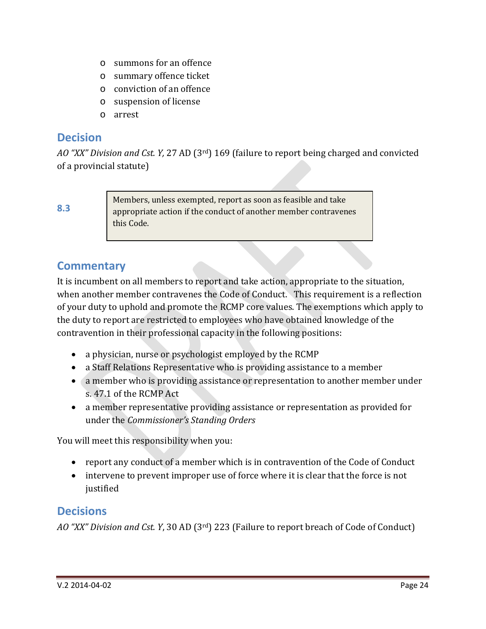- o summons for an offence
- o summary offence ticket
- o conviction of an offence
- o suspension of license
- o arrest

#### <span id="page-23-0"></span>**Decision**

*AO "XX" Division and Cst. Y,* 27 AD (3rd) 169 (failure to report being charged and convicted of a provincial statute)

<span id="page-23-1"></span>**8.3**

Members, unless exempted, report as soon as feasible and take appropriate action if the conduct of another member contravenes this Code.

## <span id="page-23-2"></span>**Commentary**

It is incumbent on all members to report and take action, appropriate to the situation, when another member contravenes the Code of Conduct. This requirement is a reflection of your duty to uphold and promote the RCMP core values. The exemptions which apply to the duty to report are restricted to employees who have obtained knowledge of the contravention in their professional capacity in the following positions:

- a physician, nurse or psychologist employed by the RCMP
- a Staff Relations Representative who is providing assistance to a member
- a member who is providing assistance or representation to another member under s. 47.1 of the RCMP Act
- a member representative providing assistance or representation as provided for under the *Commissioner's Standing Orders*

You will meet this responsibility when you:

- report any conduct of a member which is in contravention of the Code of Conduct
- intervene to prevent improper use of force where it is clear that the force is not justified

#### <span id="page-23-3"></span>**Decisions**

*AO "XX" Division and Cst. Y*, 30 AD (3rd) 223 (Failure to report breach of Code of Conduct)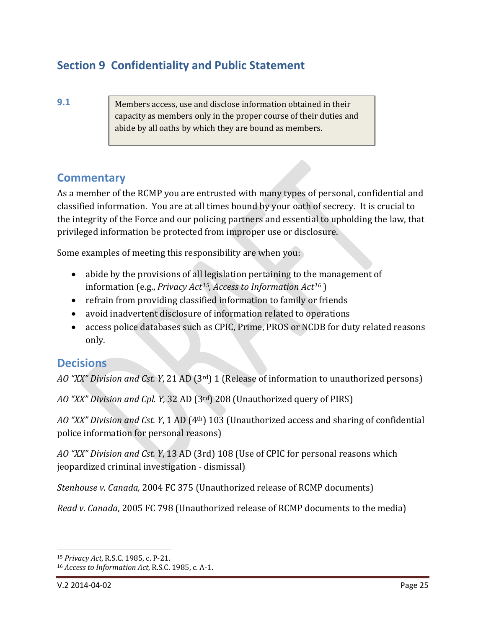## <span id="page-24-0"></span>**Section 9 Confidentiality and Public Statement**

<span id="page-24-1"></span>**9.1**

Members access, use and disclose information obtained in their capacity as members only in the proper course of their duties and abide by all oaths by which they are bound as members.

#### <span id="page-24-2"></span>**Commentary**

As a member of the RCMP you are entrusted with many types of personal, confidential and classified information. You are at all times bound by your oath of secrecy. It is crucial to the integrity of the Force and our policing partners and essential to upholding the law, that privileged information be protected from improper use or disclosure.

Some examples of meeting this responsibility are when you:

- abide by the provisions of all legislation pertaining to the management of information (e.g., *Privacy Act[15,](#page-24-4) Access to Information Act[16](#page-24-5)* )
- refrain from providing classified information to family or friends
- avoid inadvertent disclosure of information related to operations
- access police databases such as CPIC, Prime, PROS or NCDB for duty related reasons only.

#### <span id="page-24-3"></span>**Decisions**

*AO "XX" Division and Cst. Y*, 21 AD (3rd) 1 (Release of information to unauthorized persons)

*AO "XX" Division and Cpl. Y,* 32 AD (3rd) 208 (Unauthorized query of PIRS)

*AO "XX" Division and Cst. Y*, 1 AD (4th) 103 (Unauthorized access and sharing of confidential police information for personal reasons)

*AO "XX" Division and Cst. Y*, 13 AD (3rd) 108 (Use of CPIC for personal reasons which jeopardized criminal investigation - dismissal)

*Stenhouse v. Canada,* 2004 FC 375 (Unauthorized release of RCMP documents)

*Read v. Canada*, 2005 FC 798 (Unauthorized release of RCMP documents to the media)

<span id="page-24-4"></span><sup>15</sup> *Privacy Act*, R.S.C. 1985, c. P-21. j

<span id="page-24-5"></span><sup>16</sup> *Access to Information Act*, R.S.C. 1985, c. A-1.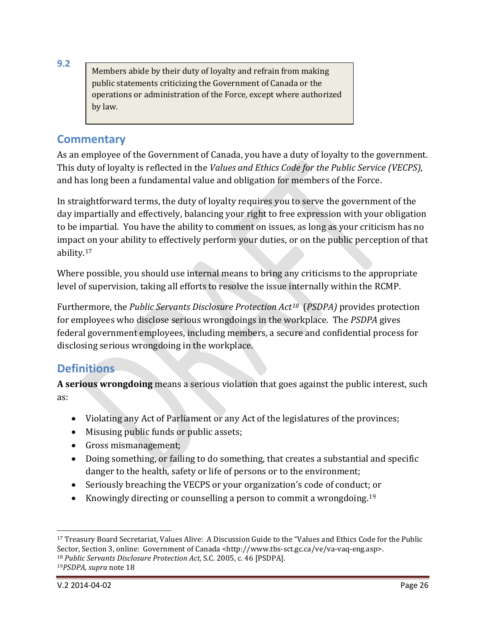Members abide by their duty of loyalty and refrain from making public statements criticizing the Government of Canada or the operations or administration of the Force, except where authorized by law.

#### <span id="page-25-1"></span>**Commentary**

<span id="page-25-0"></span>**9.2**

As an employee of the Government of Canada, you have a duty of loyalty to the government. This duty of loyalty is reflected in the *Values and Ethics Code for the Public Service (VECPS)*, and has long been a fundamental value and obligation for members of the Force.

In straightforward terms, the duty of loyalty requires you to serve the government of the day impartially and effectively, balancing your right to free expression with your obligation to be impartial. You have the ability to comment on issues, as long as your criticism has no impact on your ability to effectively perform your duties, or on the public perception of that ability.[17](#page-25-3)

Where possible, you should use internal means to bring any criticisms to the appropriate level of supervision, taking all efforts to resolve the issue internally within the RCMP.

Furthermore, the *Public Servants Disclosure Protection Act[18](#page-25-4)* (*PSDPA)* provides protection for employees who disclose serious wrongdoings in the workplace. The *PSDPA* gives federal government employees, including members, a secure and confidential process for disclosing serious wrongdoing in the workplace.

## <span id="page-25-2"></span>**Definitions**

**A serious wrongdoing** means a serious violation that goes against the public interest, such as:

- Violating any Act of Parliament or any Act of the legislatures of the provinces;
- Misusing public funds or public assets;
- Gross mismanagement;
- Doing something, or failing to do something, that creates a substantial and specific danger to the health, safety or life of persons or to the environment;
- Seriously breaching the VECPS or your organization's code of conduct; or
- Knowingly directing or counselling a person to commit a wrongdoing.<sup>[19](#page-25-5)</sup>

<span id="page-25-5"></span>V.2 2014-04-02 Page 26

<span id="page-25-4"></span><span id="page-25-3"></span> $17$  Treasury Board Secretariat, Values Alive: A Discussion Guide to the "Values and Ethics Code for the Public Sector, Section 3, online: Government of Canada <http://www.tbs-sct.gc.ca/ve/va-vaq-eng.asp>. <sup>18</sup> *Public Servants Disclosure Protection Act,* S.C. 2005, c. 46 [PSDPA]. <sup>19</sup>*PSDPA, supra* note 18 j